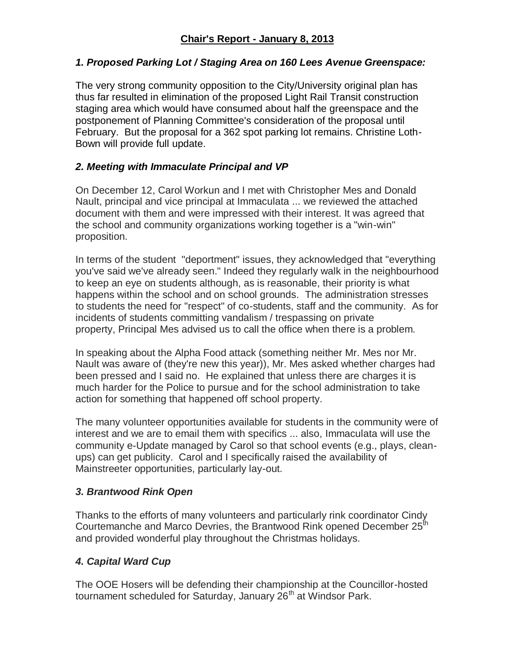## *1. Proposed Parking Lot / Staging Area on 160 Lees Avenue Greenspace:*

The very strong community opposition to the City/University original plan has thus far resulted in elimination of the proposed Light Rail Transit construction staging area which would have consumed about half the greenspace and the postponement of Planning Committee's consideration of the proposal until February. But the proposal for a 362 spot parking lot remains. Christine Loth-Bown will provide full update.

# *2. Meeting with Immaculate Principal and VP*

On December 12, Carol Workun and I met with Christopher Mes and Donald Nault, principal and vice principal at Immaculata ... we reviewed the attached document with them and were impressed with their interest. It was agreed that the school and community organizations working together is a "win-win" proposition.

In terms of the student "deportment" issues, they acknowledged that "everything you've said we've already seen." Indeed they regularly walk in the neighbourhood to keep an eye on students although, as is reasonable, their priority is what happens within the school and on school grounds. The administration stresses to students the need for "respect" of co-students, staff and the community. As for incidents of students committing vandalism / trespassing on private property, Principal Mes advised us to call the office when there is a problem.

In speaking about the Alpha Food attack (something neither Mr. Mes nor Mr. Nault was aware of (they're new this year)), Mr. Mes asked whether charges had been pressed and I said no. He explained that unless there are charges it is much harder for the Police to pursue and for the school administration to take action for something that happened off school property.

The many volunteer opportunities available for students in the community were of interest and we are to email them with specifics ... also, Immaculata will use the community e-Update managed by Carol so that school events (e.g., plays, cleanups) can get publicity. Carol and I specifically raised the availability of Mainstreeter opportunities, particularly lay-out.

# *3. Brantwood Rink Open*

Thanks to the efforts of many volunteers and particularly rink coordinator Cindy Courtemanche and Marco Devries, the Brantwood Rink opened December 25<sup>th</sup> and provided wonderful play throughout the Christmas holidays.

# *4. Capital Ward Cup*

The OOE Hosers will be defending their championship at the Councillor-hosted tournament scheduled for Saturday, January 26<sup>th</sup> at Windsor Park.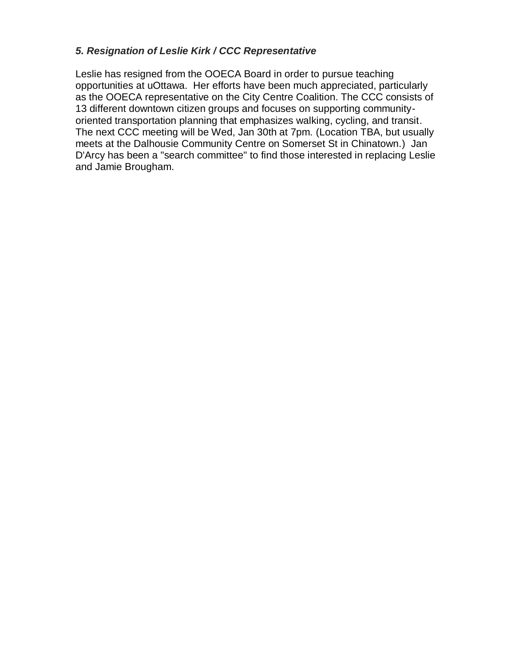#### *5. Resignation of Leslie Kirk / CCC Representative*

Leslie has resigned from the OOECA Board in order to pursue teaching opportunities at uOttawa. Her efforts have been much appreciated, particularly as the OOECA representative on the City Centre Coalition. The CCC consists of 13 different downtown citizen groups and focuses on supporting communityoriented transportation planning that emphasizes walking, cycling, and transit. The next CCC meeting will be Wed, Jan 30th at 7pm. (Location TBA, but usually meets at the Dalhousie Community Centre on Somerset St in Chinatown.) Jan D'Arcy has been a "search committee" to find those interested in replacing Leslie and Jamie Brougham.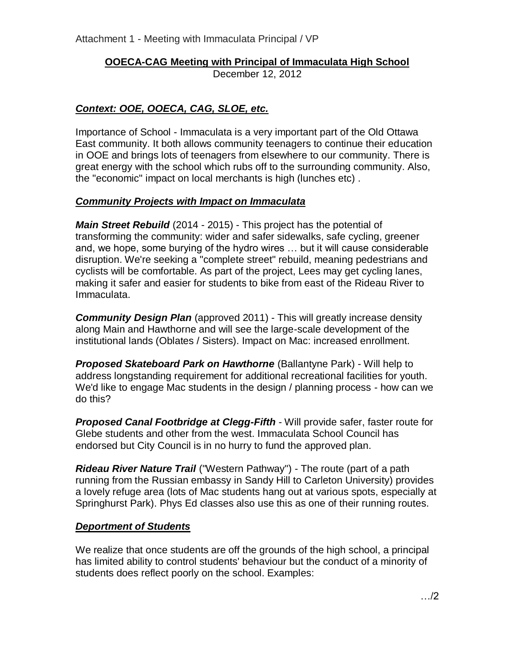Attachment 1 - Meeting with Immaculata Principal / VP

# **OOECA-CAG Meeting with Principal of Immaculata High School**

December 12, 2012

# *Context: OOE, OOECA, CAG, SLOE, etc.*

Importance of School - Immaculata is a very important part of the Old Ottawa East community. It both allows community teenagers to continue their education in OOE and brings lots of teenagers from elsewhere to our community. There is great energy with the school which rubs off to the surrounding community. Also, the "economic" impact on local merchants is high (lunches etc) .

### *Community Projects with Impact on Immaculata*

*Main Street Rebuild* (2014 - 2015) - This project has the potential of transforming the community: wider and safer sidewalks, safe cycling, greener and, we hope, some burying of the hydro wires … but it will cause considerable disruption. We're seeking a "complete street" rebuild, meaning pedestrians and cyclists will be comfortable. As part of the project, Lees may get cycling lanes, making it safer and easier for students to bike from east of the Rideau River to Immaculata.

*Community Design Plan* (approved 2011) - This will greatly increase density along Main and Hawthorne and will see the large-scale development of the institutional lands (Oblates / Sisters). Impact on Mac: increased enrollment.

*Proposed Skateboard Park on Hawthorne* (Ballantyne Park) - Will help to address longstanding requirement for additional recreational facilities for youth. We'd like to engage Mac students in the design / planning process - how can we do this?

*Proposed Canal Footbridge at Clegg-Fifth* - Will provide safer, faster route for Glebe students and other from the west. Immaculata School Council has endorsed but City Council is in no hurry to fund the approved plan.

*Rideau River Nature Trail* ("Western Pathway") - The route (part of a path running from the Russian embassy in Sandy Hill to Carleton University) provides a lovely refuge area (lots of Mac students hang out at various spots, especially at Springhurst Park). Phys Ed classes also use this as one of their running routes.

### *Deportment of Students*

We realize that once students are off the grounds of the high school, a principal has limited ability to control students' behaviour but the conduct of a minority of students does reflect poorly on the school. Examples: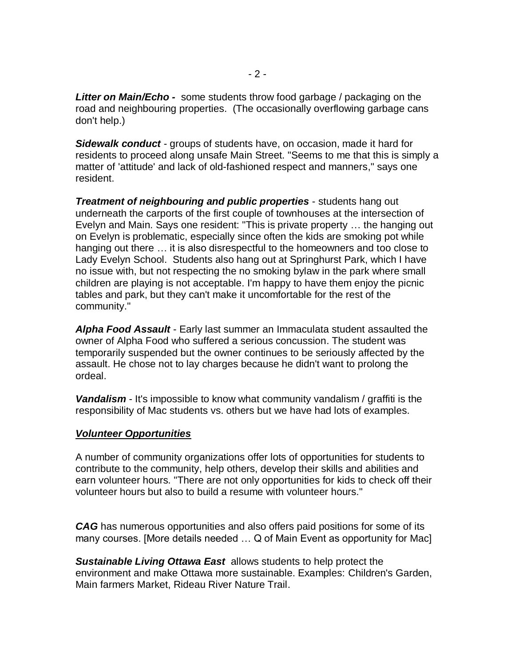*Litter on Main/Echo -* some students throw food garbage / packaging on the road and neighbouring properties. (The occasionally overflowing garbage cans don't help.)

*Sidewalk conduct* - groups of students have, on occasion, made it hard for residents to proceed along unsafe Main Street. "Seems to me that this is simply a matter of 'attitude' and lack of old-fashioned respect and manners," says one resident.

*Treatment of neighbouring and public properties* - students hang out underneath the carports of the first couple of townhouses at the intersection of Evelyn and Main. Says one resident: "This is private property … the hanging out on Evelyn is problematic, especially since often the kids are smoking pot while hanging out there … it is also disrespectful to the homeowners and too close to Lady Evelyn School. Students also hang out at Springhurst Park, which I have no issue with, but not respecting the no smoking bylaw in the park where small children are playing is not acceptable. I'm happy to have them enjoy the picnic tables and park, but they can't make it uncomfortable for the rest of the community."

*Alpha Food Assault* - Early last summer an Immaculata student assaulted the owner of Alpha Food who suffered a serious concussion. The student was temporarily suspended but the owner continues to be seriously affected by the assault. He chose not to lay charges because he didn't want to prolong the ordeal.

*Vandalism* - It's impossible to know what community vandalism / graffiti is the responsibility of Mac students vs. others but we have had lots of examples.

#### *Volunteer Opportunities*

A number of community organizations offer lots of opportunities for students to contribute to the community, help others, develop their skills and abilities and earn volunteer hours. "There are not only opportunities for kids to check off their volunteer hours but also to build a resume with volunteer hours."

*CAG* has numerous opportunities and also offers paid positions for some of its many courses. [More details needed … Q of Main Event as opportunity for Mac]

*Sustainable Living Ottawa East* allows students to help protect the environment and make Ottawa more sustainable. Examples: Children's Garden, Main farmers Market, Rideau River Nature Trail.